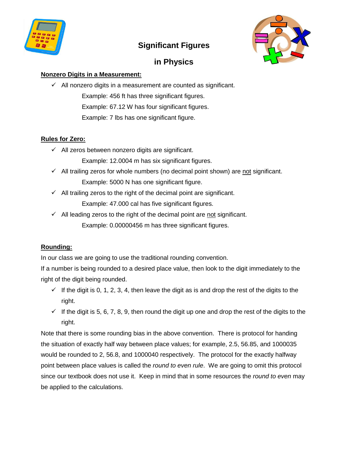

# **Significant Figures**



# **in Physics**

### **Nonzero Digits in a Measurement:**

 $\checkmark$  All nonzero digits in a measurement are counted as significant. Example: 456 ft has three significant figures. Example: 67.12 W has four significant figures. Example: 7 lbs has one significant figure.

### **Rules for Zero:**

 $\checkmark$  All zeros between nonzero digits are significant.

Example: 12.0004 m has six significant figures.

- $\checkmark$  All trailing zeros for whole numbers (no decimal point shown) are not significant. Example: 5000 N has one significant figure.
- $\checkmark$  All trailing zeros to the right of the decimal point are significant.

Example: 47.000 cal has five significant figures.

 $\checkmark$  All leading zeros to the right of the decimal point are not significant. Example: 0.00000456 m has three significant figures.

## **Rounding:**

In our class we are going to use the traditional rounding convention.

If a number is being rounded to a desired place value, then look to the digit immediately to the right of the digit being rounded.

- $\checkmark$  If the digit is 0, 1, 2, 3, 4, then leave the digit as is and drop the rest of the digits to the right.
- $\checkmark$  If the digit is 5, 6, 7, 8, 9, then round the digit up one and drop the rest of the digits to the right.

Note that there is some rounding bias in the above convention. There is protocol for handing the situation of exactly half way between place values; for example, 2.5, 56.85, and 1000035 would be rounded to 2, 56.8, and 1000040 respectively. The protocol for the exactly halfway point between place values is called the *round to even rule*. We are going to omit this protocol since our textbook does not use it. Keep in mind that in some resources the *round to even* may be applied to the calculations.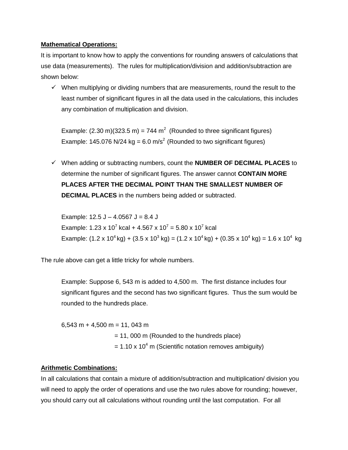#### **Mathematical Operations:**

It is important to know how to apply the conventions for rounding answers of calculations that use data (measurements). The rules for multiplication/division and addition/subtraction are shown below:

 $\checkmark$  When multiplying or dividing numbers that are measurements, round the result to the least number of significant figures in all the data used in the calculations, this includes any combination of multiplication and division.

Example: (2.30 m)(323.5 m) = 744 m<sup>2</sup> (Rounded to three significant figures) Example: 145.076 N/24 kg = 6.0 m/s<sup>2</sup> (Rounded to two significant figures)

 When adding or subtracting numbers, count the **NUMBER OF DECIMAL PLACES** to determine the number of significant figures. The answer cannot **CONTAIN MORE PLACES AFTER THE DECIMAL POINT THAN THE SMALLEST NUMBER OF DECIMAL PLACES** in the numbers being added or subtracted.

Example:  $12.5$  J –  $4.0567$  J =  $8.4$  J Example: 1.23 x 10<sup>7</sup> kcal + 4.567 x 10<sup>7</sup> = 5.80 x 10<sup>7</sup> kcal Example:  $(1.2 \times 10^4 \text{ kg}) + (3.5 \times 10^3 \text{ kg}) = (1.2 \times 10^4 \text{ kg}) + (0.35 \times 10^4 \text{ kg}) = 1.6 \times 10^4 \text{ kg}$ 

The rule above can get a little tricky for whole numbers.

Example: Suppose 6, 543 m is added to 4,500 m. The first distance includes four significant figures and the second has two significant figures. Thus the sum would be rounded to the hundreds place.

 $6,543$  m + 4,500 m = 11, 043 m = 11, 000 m (Rounded to the hundreds place)  $= 1.10 \times 10^4$  m (Scientific notation removes ambiguity)

#### **Arithmetic Combinations:**

In all calculations that contain a mixture of addition/subtraction and multiplication/ division you will need to apply the order of operations and use the two rules above for rounding; however, you should carry out all calculations without rounding until the last computation. For all